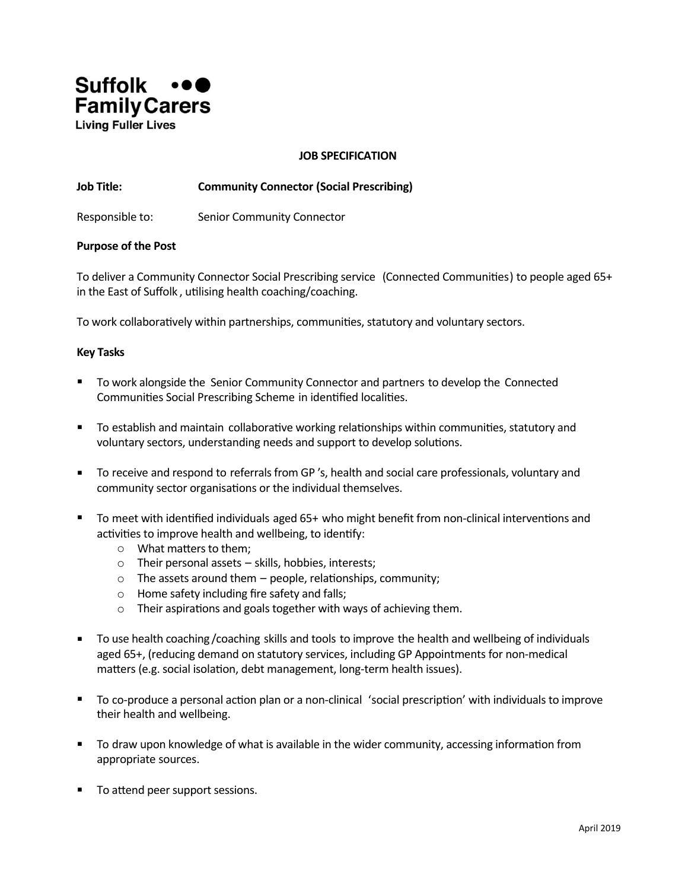

#### **JOB SPECIFICATION**

## **Job Title: Community Connector (Social Prescribing)**

Responsible to: Senior Community Connector

#### **Purpose of the Post**

To deliver a Community Connector Social Prescribing service (Connected Communities) to people aged 65+ in the East of Suffolk, utilising health coaching/coaching.

To work collaboratively within partnerships, communities, statutory and voluntary sectors.

#### **Key Tasks**

- To work alongside the Senior Community Connector and partners to develop the Connected Communities Social Prescribing Scheme in identified localities.
- To establish and maintain collaborative working relationships within communities, statutory and voluntary sectors, understanding needs and support to develop solutions.
- To receive and respond to referrals from GP 's, health and social care professionals, voluntary and community sector organisations or the individual themselves.
- To meet with identified individuals aged 65+ who might benefit from non-clinical interventions and activities to improve health and wellbeing, to identify:
	- $\circ$  What matters to them:
	- $\circ$  Their personal assets skills, hobbies, interests;
	- $\circ$  The assets around them people, relationships, community;
	- o Home safety including fire safety and falls;
	- $\circ$  Their aspirations and goals together with ways of achieving them.
- To use health coaching / coaching skills and tools to improve the health and wellbeing of individuals aged 65+, (reducing demand on statutory services, including GP Appointments for non-medical matters (e.g. social isolation, debt management, long-term health issues).
- To co-produce a personal action plan or a non-clinical 'social prescription' with individuals to improve their health and wellbeing.
- $\blacksquare$  To draw upon knowledge of what is available in the wider community, accessing information from appropriate sources.
- To attend peer support sessions.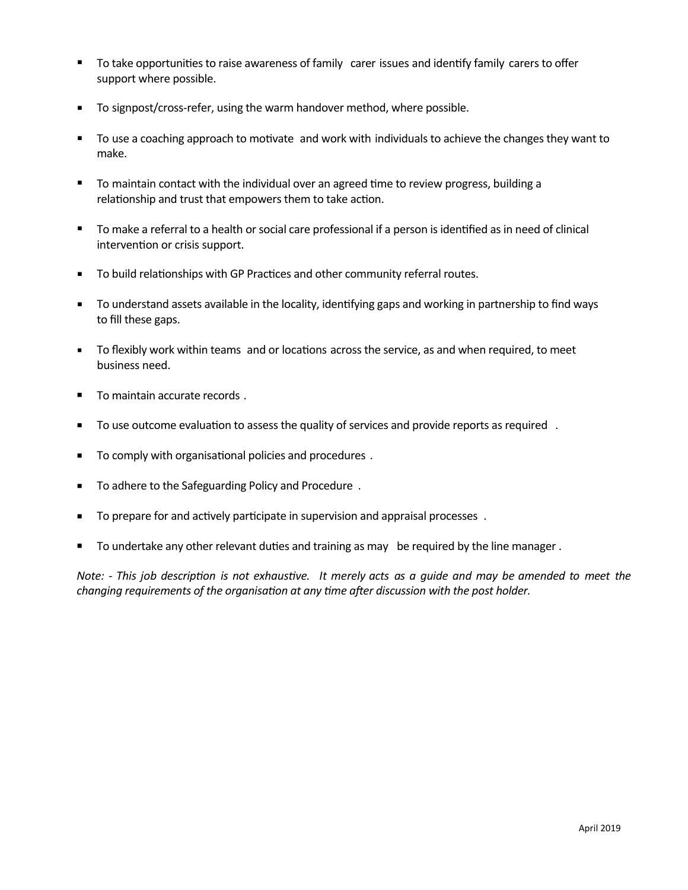- To take opportunities to raise awareness of family carer issues and identify family carers to offer support where possible.
- To signpost/cross-refer, using the warm handover method, where possible.
- To use a coaching approach to motivate and work with individuals to achieve the changes they want to make.
- To maintain contact with the individual over an agreed time to review progress, building a relationship and trust that empowers them to take action.
- To make a referral to a health or social care professional if a person is identified as in need of clinical intervention or crisis support.
- To build relationships with GP Practices and other community referral routes.
- To understand assets available in the locality, identifying gaps and working in partnership to find ways to fill these gaps.
- To flexibly work within teams and or locations across the service, as and when required, to meet business need.
- To maintain accurate records.
- To use outcome evaluation to assess the quality of services and provide reports as required .
- To comply with organisational policies and procedures .
- To adhere to the Safeguarding Policy and Procedure .
- To prepare for and actively participate in supervision and appraisal processes .
- To undertake any other relevant duties and training as may be required by the line manager.

Note: - This job description is not exhaustive. It merely acts as a guide and may be amended to meet the *changing requirements of the organisation at any time after discussion with the post holder.*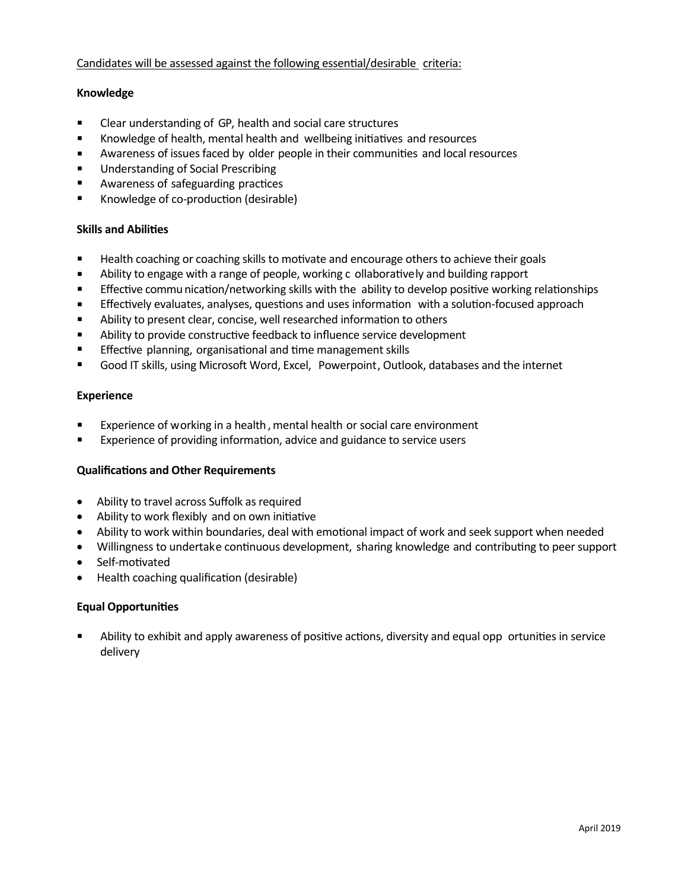# Candidates will be assessed against the following essential/desirable criteria:

# **Knowledge**

- Clear understanding of GP, health and social care structures
- Knowledge of health, mental health and wellbeing initiatives and resources
- **EXED** Awareness of issues faced by older people in their communities and local resources
- Understanding of Social Prescribing
- Awareness of safeguarding practices
- Knowledge of co-production (desirable)

## **Skills and Abilities**

- Health coaching or coaching skills to motivate and encourage others to achieve their goals
- **■** Ability to engage with a range of people, working c ollaboratively and building rapport
- Effective commu nication/networking skills with the ability to develop positive working relationships
- Effectively evaluates, analyses, questions and uses information with a solution-focused approach
- Ability to present clear, concise, well researched information to others
- Ability to provide constructive feedback to influence service development
- Effective planning, organisational and time management skills
- Good IT skills, using Microsoft Word, Excel, Powerpoint, Outlook, databases and the internet

## **Experience**

- Experience of working in a health, mental health or social care environment
- Experience of providing information, advice and guidance to service users

# **Qualifications and Other Requirements**

- · Ability to travel across Suffolk as required
- Ability to work flexibly and on own initiative
- Ability to work within boundaries, deal with emotional impact of work and seek support when needed
- Willingness to undertake continuous development, sharing knowledge and contributing to peer support
- Self-motivated
- Health coaching qualification (desirable)

# **Equal Opportunities**

Ability to exhibit and apply awareness of positive actions, diversity and equal opp ortunities in service delivery